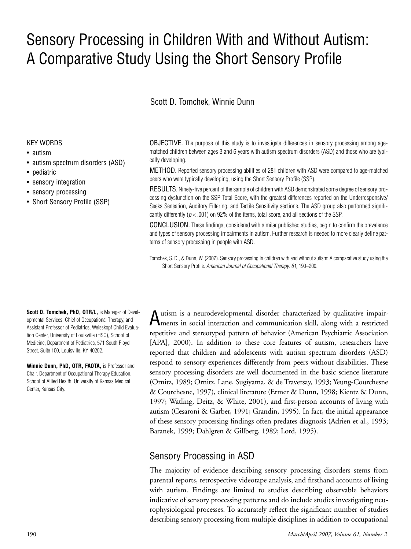# Sensory Processing in Children With and Without Autism: A Comparative Study Using the Short Sensory Profile

## Scott D. Tomchek, Winnie Dunn

#### KEY WORDS

- autism
- autism spectrum disorders (ASD)
- pediatric
- sensory integration
- sensory processing
- Short Sensory Profile (SSP)

**Scott D. Tomchek, PhD, OTR/L,** is Manager of Developmental Services, Chief of Occupational Therapy, and Assistant Professor of Pediatrics, Weisskopf Child Evaluation Center, University of Louisville (HSC), School of Medicine, Department of Pediatrics, 571 South Floyd Street, Suite 100, Louisville, KY 40202.

**Winnie Dunn, PhD, OTR, FAOTA, is Professor and** Chair, Department of Occupational Therapy Education, School of Allied Health, University of Kansas Medical Center, Kansas City.

OBJECTIVE. The purpose of this study is to investigate differences in sensory processing among agematched children between ages 3 and 6 years with autism spectrum disorders (ASD) and those who are typically developing.

METHOD. Reported sensory processing abilities of 281 children with ASD were compared to age-matched peers who were typically developing, using the Short Sensory Profile (SSP).

RESULTS. Ninety-five percent of the sample of children with ASD demonstrated some degree of sensory processing dysfunction on the SSP Total Score, with the greatest differences reported on the Underresponsive/ Seeks Sensation, Auditory Filtering, and Tactile Sensitivity sections. The ASD group also performed significantly differently (*p* < .001) on 92% of the items, total score, and all sections of the SSP.

CONCLUSION. These findings, considered with similar published studies, begin to confirm the prevalence and types of sensory processing impairments in autism. Further research is needed to more clearly define patterns of sensory processing in people with ASD.

Tomchek, S. D., & Dunn, W. (2007). Sensory processing in children with and without autism: A comparative study using the Short Sensory Profile. *American Journal of Occupational Therapy, 61,* 190–200.

Autism is a neurodevelopmental disorder characterized by qualitative impair-ments in social interaction and communication skill, along with a restricted repetitive and stereotyped pattern of behavior (American Psychiatric Association [APA], 2000). In addition to these core features of autism, researchers have reported that children and adolescents with autism spectrum disorders (ASD) respond to sensory experiences differently from peers without disabilities. These sensory processing disorders are well documented in the basic science literature (Ornitz, 1989; Ornitz, Lane, Sugiyama, & de Traversay, 1993; Yeung-Courchesne & Courchesne, 1997), clinical literature (Ermer & Dunn, 1998; Kientz & Dunn, 1997; Watling, Deitz, & White, 2001), and first-person accounts of living with autism (Cesaroni & Garber, 1991; Grandin, 1995). In fact, the initial appearance of these sensory processing findings often predates diagnosis (Adrien et al., 1993; Baranek, 1999; Dahlgren & Gillberg, 1989; Lord, 1995).

# Sensory Processing in ASD

The majority of evidence describing sensory processing disorders stems from parental reports, retrospective videotape analysis, and firsthand accounts of living with autism. Findings are limited to studies describing observable behaviors indicative of sensory processing patterns and do include studies investigating neurophysiological processes. To accurately reflect the significant number of studies describing sensory processing from multiple disciplines in addition to occupational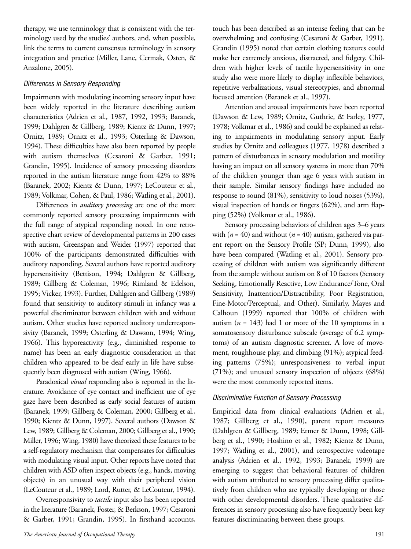therapy, we use terminology that is consistent with the terminology used by the studies' authors, and, when possible, link the terms to current consensus terminology in sensory integration and practice (Miller, Lane, Cermak, Osten, & Anzalone, 2005).

#### *Differences in Sensory Responding*

Impairments with modulating incoming sensory input have been widely reported in the literature describing autism characteristics (Adrien et al., 1987, 1992, 1993; Baranek, 1999; Dahlgren & Gillberg, 1989; Kientz & Dunn, 1997; Ornitz, 1989; Ornitz et al., 1993; Osterling & Dawson, 1994). These difficulties have also been reported by people with autism themselves (Cesaroni & Garber, 1991; Grandin, 1995). Incidence of sensory processing disorders reported in the autism literature range from 42% to 88% (Baranek, 2002; Kientz & Dunn, 1997; LeCouteur et al., 1989; Volkmar, Cohen, & Paul, 1986; Watling et al., 2001).

Differences in *auditory processing* are one of the more commonly reported sensory processing impairments with the full range of atypical responding noted. In one retrospective chart review of developmental patterns in 200 cases with autism, Greenspan and Weider (1997) reported that 100% of the participants demonstrated difficulties with auditory responding. Several authors have reported auditory hypersensitivity (Bettison, 1994; Dahlgren & Gillberg, 1989; Gillberg & Coleman, 1996; Rimland & Edelson, 1995; Vicker, 1993). Further, Dahlgren and Gillberg (1989) found that sensitivity to auditory stimuli in infancy was a powerful discriminator between children with and without autism. Other studies have reported auditory underresponsivity (Baranek, 1999; Osterling & Dawson, 1994; Wing, 1966). This hyporeactivity (e.g., diminished response to name) has been an early diagnostic consideration in that children who appeared to be deaf early in life have subsequently been diagnosed with autism (Wing, 1966).

Paradoxical *visual* responding also is reported in the literature. Avoidance of eye contact and inefficient use of eye gaze have been described as early social features of autism (Baranek, 1999; Gillberg & Coleman, 2000; Gillberg et al., 1990; Kientz & Dunn, 1997). Several authors (Dawson & Lew, 1989; Gillberg & Coleman, 2000; Gillberg et al., 1990; Miller, 1996; Wing, 1980) have theorized these features to be a self-regulatory mechanism that compensates for difficulties with modulating visual input. Other reports have noted that children with ASD often inspect objects (e.g., hands, moving objects) in an unusual way with their peripheral vision (LeCouteur et al., 1989; Lord, Rutter, & LeCouteur, 1994).

Overresponsivity to *tactile* input also has been reported in the literature(Baranek, Foster, & Berkson, 1997; Cesaroni & Garber, 1991; Grandin, 1995). In firsthand accounts, touch has been described as an intense feeling that can be overwhelming and confusing (Cesaroni & Garber, 1991). Grandin (1995) noted that certain clothing textures could make her extremely anxious, distracted, and fidgety. Children with higher levels of tactile hypersensitivity in one study also were more likely to display inflexible behaviors, repetitive verbalizations, visual stereotypies, and abnormal focused attention (Baranek et al., 1997).

Attention and arousal impairments have been reported (Dawson & Lew, 1989; Ornitz, Guthrie, & Farley, 1977, 1978; Volkmar et al., 1986) and could be explained as relating to impairments in modulating sensory input. Early studies by Ornitz and colleagues (1977, 1978) described a pattern of disturbances in sensory modulation and motility having an impact on all sensory systems in more than 70% of the children younger than age 6 years with autism in their sample. Similar sensory findings have included no response to sound (81%), sensitivity to loud noises (53%), visual inspection of hands or fingers (62%), and arm flapping (52%) (Volkmar et al., 1986).

Sensory processing behaviors of children ages 3–6 years with  $(n = 40)$  and without  $(n = 40)$  autism, gathered via parent report on the Sensory Profile (SP; Dunn, 1999), also have been compared (Watling et al., 2001). Sensory processing of children with autism was significantly different from the sample without autism on 8 of 10 factors (Sensory Seeking, Emotionally Reactive, Low Endurance/Tone, Oral Sensitivity, Inattention/Distractibility, Poor Registration, Fine-Motor/Perceptual, and Other). Similarly, Mayes and Calhoun (1999) reported that 100% of children with autism  $(n = 143)$  had 1 or more of the 10 symptoms in a somatosensory disturbance subscale (average of 6.2 symptoms) of an autism diagnostic screener. A love of movement, roughhouse play, and climbing (91%); atypical feeding patterns (75%); unresponsiveness to verbal input (71%); and unusual sensory inspection of objects (68%) were the most commonly reported items.

#### *Discriminative Function of Sensory Processing*

Empirical data from clinical evaluations (Adrien et al., 1987; Gillberg et al., 1990), parent report measures (Dahlgren & Gillberg, 1989; Ermer & Dunn, 1998; Gillberg et al., 1990; Hoshino et al., 1982; Kientz & Dunn, 1997; Watling et al., 2001), and retrospective videotape analysis (Adrien et al., 1992, 1993; Baranek, 1999) are emerging to suggest that behavioral features of children with autism attributed to sensory processing differ qualitatively from children who are typically developing or those with other developmental disorders. These qualitative differences in sensory processing also have frequently been key features discriminating between these groups.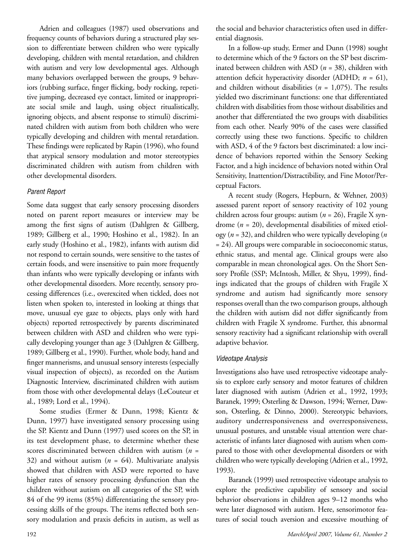Adrien and colleagues (1987) used observations and frequency counts of behaviors during a structured play session to differentiate between children who were typically developing, children with mental retardation, and children with autism and very low developmental ages. Although many behaviors overlapped between the groups, 9 behaviors (rubbing surface, finger flicking, body rocking, repetitive jumping, decreased eye contact, limited or inappropriate social smile and laugh, using object ritualistically, ignoring objects, and absent response to stimuli) discriminated children with autism from both children who were typically developing and children with mental retardation. These findings were replicated by Rapin (1996), who found that atypical sensory modulation and motor stereotypies discriminated children with autism from children with other developmental disorders.

#### *Parent Report*

Some data suggest that early sensory processing disorders noted on parent report measures or interview may be among the first signs of autism (Dahlgren & Gillberg, 1989; Gillberg et al., 1990; Hoshino et al., 1982). In an early study (Hoshino et al., 1982), infants with autism did not respond to certain sounds, were sensitive to the tastes of certain foods, and were insensitive to pain more frequently than infants who were typically developing or infants with other developmental disorders. More recently, sensory processing differences (i.e., overexcited when tickled, does not listen when spoken to, interested in looking at things that move, unusual eye gaze to objects, plays only with hard objects) reported retrospectively by parents discriminated between children with ASD and children who were typically developing younger than age 3 (Dahlgren & Gillberg, 1989; Gillberg et al., 1990). Further, whole body, hand and finger mannerisms, and unusual sensory interests (especially visual inspection of objects), as recorded on the Autism Diagnostic Interview, discriminated children with autism from those with other developmental delays (LeCouteur et al., 1989; Lord et al., 1994).

Some studies (Ermer & Dunn, 1998; Kientz & Dunn, 1997) have investigated sensory processing using the SP. Kientz and Dunn (1997) used scores on the SP, in its test development phase, to determine whether these scores discriminated between children with autism (*n* = 32) and without autism  $(n = 64)$ . Multivariate analysis showed that children with ASD were reported to have higher rates of sensory processing dysfunction than the children without autism on all categories of the SP, with 84 of the 99 items (85%) differentiating the sensory processing skills of the groups. The items reflected both sensory modulation and praxis deficits in autism, as well as

the social and behavior characteristics often used in differential diagnosis.

In a follow-up study, Ermer and Dunn (1998) sought to determine which of the 9 factors on the SP best discriminated between children with ASD (*n* = 38), children with attention deficit hyperactivity disorder (ADHD; *n* = 61), and children without disabilities (*n* = 1,075). The results yielded two discriminant functions: one that differentiated children with disabilities from those without disabilities and another that differentiated the two groups with disabilities from each other. Nearly 90% of the cases were classified correctly using these two functions. Specific to children with ASD, 4 of the 9 factors best discriminated: a low incidence of behaviors reported within the Sensory Seeking Factor, and a high incidence of behaviors noted within Oral Sensitivity, Inattention/Distractibility, and Fine Motor/Perceptual Factors.

A recent study (Rogers, Hepburn, & Wehner, 2003) assessed parent report of sensory reactivity of 102 young children across four groups: autism (*n* = 26), Fragile X syndrome (*n* = 20), developmental disabilities of mixed etiology (*n* = 32), and children who were typically developing (*n* = 24). All groups were comparable in socioeconomic status, ethnic status, and mental age. Clinical groups were also comparable in mean chronological ages. On the Short Sensory Profile (SSP; McIntosh, Miller, & Shyu, 1999), findings indicated that the groups of children with Fragile X syndrome and autism had significantly more sensory responses overall than the two comparison groups, although the children with autism did not differ significantly from children with Fragile X syndrome. Further, this abnormal sensory reactivity had a significant relationship with overall adaptive behavior.

#### *Videotape Analysis*

Investigations also have used retrospective videotape analysis to explore early sensory and motor features of children later diagnosed with autism (Adrien et al., 1992, 1993; Baranek, 1999; Osterling & Dawson, 1994; Werner, Dawson, Osterling, & Dinno, 2000). Stereotypic behaviors, auditory underresponsiveness and overresponsiveness, unusual postures, and unstable visual attention were characteristic of infants later diagnosed with autism when compared to those with other developmental disorders or with children who were typically developing (Adrien et al., 1992, 1993).

Baranek (1999) used retrospective videotape analysis to explore the predictive capability of sensory and social behavior observations in children ages 9–12 months who were later diagnosed with autism. Here, sensorimotor features of social touch aversion and excessive mouthing of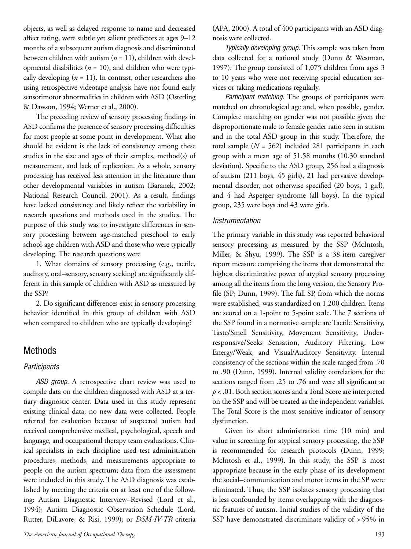objects, as well as delayed response to name and decreased affect rating, were subtle yet salient predictors at ages 9–12 months of a subsequent autism diagnosis and discriminated between children with autism (*n* = 11), children with developmental disabilities ( $n = 10$ ), and children who were typically developing  $(n = 11)$ . In contrast, other researchers also using retrospective videotape analysis have not found early sensorimotor abnormalities in children with ASD (Osterling & Dawson, 1994; Werner et al., 2000).

The preceding review of sensory processing findings in ASD confirms the presence of sensory processing difficulties for most people at some point in development. What also should be evident is the lack of consistency among these studies in the size and ages of their samples, method(s) of measurement, and lack of replication. As a whole, sensory processing has received less attention in the literature than other developmental variables in autism (Baranek, 2002; National Research Council, 2001). As a result, findings have lacked consistency and likely reflect the variability in research questions and methods used in the studies. The purpose of this study was to investigate differences in sensory processing between age-matched preschool to early school-age children with ASD and those who were typically developing. The research questions were

1. What domains of sensory processing (e.g., tactile, auditory, oral–sensory, sensory seeking) are significantly different in this sample of children with ASD as measured by the SSP?

2. Do significant differences exist in sensory processing behavior identified in this group of children with ASD when compared to children who are typically developing?

# Methods

## *Participants*

*ASD group.* A retrospective chart review was used to compile data on the children diagnosed with ASD at a tertiary diagnostic center. Data used in this study represent existing clinical data; no new data were collected. People referred for evaluation because of suspected autism had received comprehensive medical, psychological, speech and language, and occupational therapy team evaluations. Clinical specialists in each discipline used test administration procedures, methods, and measurements appropriate to people on the autism spectrum; data from the assessment were included in this study. The ASD diagnosis was established by meeting the criteria on at least one of the following: Autism Diagnostic Interview–Revised (Lord et al., 1994); Autism Diagnostic Observation Schedule (Lord, Rutter, DiLavore, & Risi, 1999); or *DSM-IV-TR* criteria

(APA, 2000). A total of 400 participants with an ASD diagnosis were collected.

*Typically developing group.* This sample was taken from data collected for a national study (Dunn & Westman, 1997). The group consisted of 1,075 children from ages 3 to 10 years who were not receiving special education services or taking medications regularly.

*Participant matching.* The groups of participants were matched on chronological age and, when possible, gender. Complete matching on gender was not possible given the disproportionate male to female gender ratio seen in autism and in the total ASD group in this study. Therefore, the total sample (*N* = 562) included 281 participants in each group with a mean age of 51.58 months (10.30 standard deviation). Specific to the ASD group, 256 had a diagnosis of autism (211 boys, 45 girls), 21 had pervasive developmental disorder, not otherwise specified (20 boys, 1 girl), and 4 had Asperger syndrome (all boys). In the typical group, 235 were boys and 43 were girls.

#### *Instrumentation*

The primary variable in this study was reported behavioral sensory processing as measured by the SSP (McIntosh, Miller, & Shyu, 1999). The SSP is a 38-item caregiver report measure comprising the items that demonstrated the highest discriminative power of atypical sensory processing among all the items from the long version, the Sensory Profile (SP; Dunn, 1999). The full SP, from which the norms were established, was standardized on 1,200 children. Items are scored on a 1-point to 5-point scale. The 7 sections of the SSP found in a normative sample are Tactile Sensitivity, Taste/Smell Sensitivity, Movement Sensitivity, Underresponsive/Seeks Sensation, Auditory Filtering, Low Energy/Weak, and Visual/Auditory Sensitivity. Internal consistency of the sections within the scale ranged from .70 to .90 (Dunn, 1999). Internal validity correlations for the sections ranged from .25 to .76 and were all significant at *p* < .01. Both section scores and a Total Score are interpreted on the SSP and will be treated as the independent variables. The Total Score is the most sensitive indicator of sensory dysfunction.

Given its short administration time (10 min) and value in screening for atypical sensory processing, the SSP is recommended for research protocols (Dunn, 1999; McIntosh et al., 1999). In this study, the SSP is most appropriate because in the early phase of its development the social–communication and motor items in the SP were eliminated. Thus, the SSP isolates sensory processing that is less confounded by items overlapping with the diagnostic features of autism. Initial studies of the validity of the SSP have demonstrated discriminate validity of > 95% in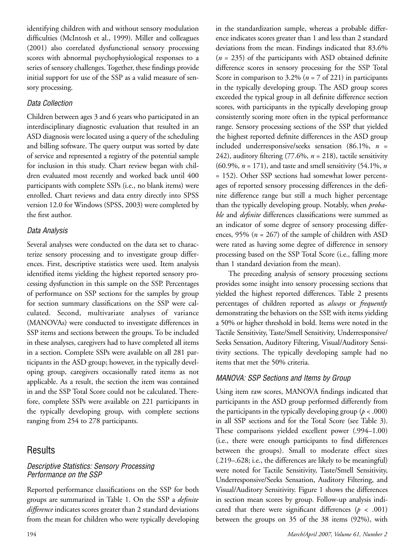identifying children with and without sensory modulation difficulties (McIntosh et al., 1999). Miller and colleagues (2001) also correlated dysfunctional sensory processing scores with abnormal psychophysiological responses to a series of sensory challenges. Together, these findings provide initial support for use of the SSP as a valid measure of sensory processing.

## *Data Collection*

Children between ages 3 and 6 years who participated in an interdisciplinary diagnostic evaluation that resulted in an ASD diagnosis were located using a query of the scheduling and billing software. The query output was sorted by date of service and represented a registry of the potential sample for inclusion in this study. Chart review began with children evaluated most recently and worked back until 400 participants with complete SSPs (i.e., no blank items) were enrolled. Chart reviews and data entry directly into SPSS version 12.0 for Windows (SPSS, 2003) were completed by the first author.

## *Data Analysis*

Several analyses were conducted on the data set to characterize sensory processing and to investigate group differences. First, descriptive statistics were used. Item analysis identified items yielding the highest reported sensory processing dysfunction in this sample on the SSP. Percentages of performance on SSP sections for the samples by group for section summary classifications on the SSP were calculated. Second, multivariate analyses of variance (MANOVAs) were conducted to investigate differences in SSP items and sections between the groups. To be included in these analyses, caregivers had to have completed all items in a section. Complete SSPs were available on all 281 participants in the ASD group; however, in the typically developing group, caregivers occasionally rated items as not applicable. As a result, the section the item was contained in and the SSP Total Score could not be calculated. Therefore, complete SSPs were available on 221 participants in the typically developing group, with complete sections ranging from 254 to 278 participants.

# Results

## *Descriptive Statistics: Sensory Processing Performance on the SSP*

Reported performance classifications on the SSP for both groups are summarized in Table 1. On the SSP a *definite difference* indicates scores greater than 2 standard deviations from the mean for children who were typically developing

in the standardization sample, whereas a probable difference indicates scores greater than 1 and less than 2 standard deviations from the mean. Findings indicated that 83.6% (*n* = 235) of the participants with ASD obtained definite difference scores in sensory processing for the SSP Total Score in comparison to  $3.2\%$  ( $n = 7$  of 221) in participants in the typically developing group. The ASD group scores exceeded the typical group in all definite difference section scores, with participants in the typically developing group consistently scoring more often in the typical performance range. Sensory processing sections of the SSP that yielded the highest reported definite differences in the ASD group included underresponsive/seeks sensation (86.1%, *n* = 242), auditory filtering  $(77.6\%, n = 218)$ , tactile sensitivity (60.9%, *n* = 171), and taste and smell sensitivity (54.1%, *n* = 152). Other SSP sections had somewhat lower percentages of reported sensory processing differences in the definite difference range but still a much higher percentage than the typically developing group. Notably, when *probable* and *definite* differences classifications were summed as an indicator of some degree of sensory processing differences, 95% (*n* = 267) of the sample of children with ASD were rated as having some degree of difference in sensory processing based on the SSP Total Score (i.e., falling more than 1 standard deviation from the mean).

The preceding analysis of sensory processing sections provides some insight into sensory processing sections that yielded the highest reported differences. Table 2 presents percentages of children reported as *always* or *frequently* demonstrating the behaviors on the SSP, with items yielding a 50% or higher threshold in bold. Items were noted in the Tactile Sensitivity, Taste/Smell Sensitivity, Underresponsive/ Seeks Sensation, Auditory Filtering, Visual/Auditory Sensitivity sections. The typically developing sample had no items that met the 50% criteria.

## *MANOVA: SSP Sections and Items by Group*

Using item raw scores, MANOVA findings indicated that participants in the ASD group performed differently from the participants in the typically developing group  $(p < .000)$ in all SSP sections and for the Total Score (see Table 3). These comparisons yielded excellent power (.994–1.00) (i.e., there were enough participants to find differences between the groups). Small to moderate effect sizes (.219–.628; i.e., the differences are likely to be meaningful) were noted for Tactile Sensitivity, Taste/Smell Sensitivity, Underresponsive/Seeks Sensation, Auditory Filtering, and Visual/Auditory Sensitivity. Figure 1 shows the differences in section mean scores by group. Follow-up analysis indicated that there were significant differences  $(p < .001)$ between the groups on 35 of the 38 items (92%), with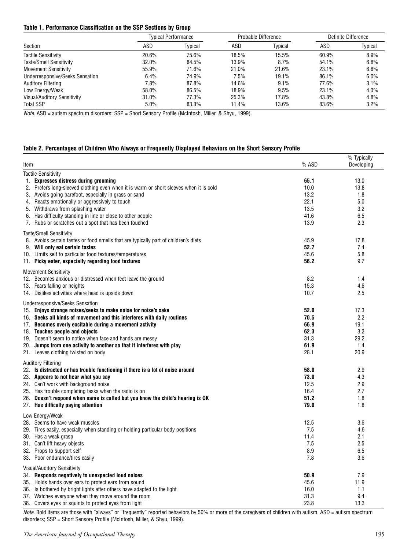#### **Table 1. Performance Classification on the SSP Sections by Group**

| Section                         | <b>Typical Performance</b> |         | Probable Difference |         | Definite Difference |         |
|---------------------------------|----------------------------|---------|---------------------|---------|---------------------|---------|
|                                 | ASD                        | Typical | ASD                 | Typical | ASD                 | Typical |
| <b>Tactile Sensitivity</b>      | 20.6%                      | 75.6%   | 18.5%               | 15.5%   | 60.9%               | 8.9%    |
| <b>Taste/Smell Sensitivity</b>  | 32.0%                      | 84.5%   | 13.9%               | 8.7%    | 54.1%               | 6.8%    |
| <b>Movement Sensitivity</b>     | 55.9%                      | 71.6%   | 21.0%               | 21.6%   | 23.1%               | 6.8%    |
| Underresponsive/Seeks Sensation | 6.4%                       | 74.9%   | 7.5%                | 19.1%   | 86.1%               | 6.0%    |
| <b>Auditory Filtering</b>       | 7.8%                       | 87.8%   | 14.6%               | 9.1%    | 77.6%               | 3.1%    |
| Low Energy/Weak                 | 58.0%                      | 86.5%   | 18.9%               | 9.5%    | 23.1%               | 4.0%    |
| Visual/Auditory Sensitivity     | 31.0%                      | 77.3%   | 25.3%               | 17.8%   | 43.8%               | 4.8%    |
| <b>Total SSP</b>                | 5.0%                       | 83.3%   | 11.4%               | 13.6%   | 83.6%               | 3.2%    |

*Note.* ASD = autism spectrum disorders; SSP = Short Sensory Profile (McIntosh, Miller, & Shyu, 1999).

#### **Table 2. Percentages of Children Who Always or Frequently Displayed Behaviors on the Short Sensory Profile**

| Item                                                                                   | % ASD | % Typically<br>Developing |
|----------------------------------------------------------------------------------------|-------|---------------------------|
| <b>Tactile Sensitivity</b>                                                             |       |                           |
| 1. Expresses distress during grooming                                                  | 65.1  | 13.0                      |
| 2. Prefers long-sleeved clothing even when it is warm or short sleeves when it is cold | 10.0  | 13.8                      |
| 3. Avoids going barefoot, especially in grass or sand                                  | 13.2  | 1.8                       |
| 4. Reacts emotionally or aggressively to touch                                         | 22.1  | 5.0                       |
| 5. Withdraws from splashing water                                                      | 13.5  | 3.2                       |
| 6. Has difficulty standing in line or close to other people                            | 41.6  | 6.5                       |
| Rubs or scratches out a spot that has been touched<br>7.                               | 13.9  | 2.3                       |
| <b>Taste/Smell Sensitivity</b>                                                         |       |                           |
| 8. Avoids certain tastes or food smells that are typically part of children's diets    | 45.9  | 17.8                      |
| 9. Will only eat certain tastes                                                        | 52.7  | 7.4                       |
| 10. Limits self to particular food textures/temperatures                               | 45.6  | 5.8                       |
| 11. Picky eater, especially regarding food textures                                    | 56.2  | 9.7                       |
| <b>Movement Sensitivity</b>                                                            |       |                           |
| 12. Becomes anxious or distressed when feet leave the ground                           | 8.2   | 1.4                       |
| 13. Fears falling or heights                                                           | 15.3  | 4.6                       |
| 14. Dislikes activities where head is upside down                                      | 10.7  | 2.5                       |
|                                                                                        |       |                           |
| <b>Underresponsive/Seeks Sensation</b>                                                 |       |                           |
| 15. Enjoys strange noises/seeks to make noise for noise's sake                         | 52.0  | 17.3                      |
| 16. Seeks all kinds of movement and this interferes with daily routines                | 70.5  | 2.2                       |
| 17. Becomes overly excitable during a movement activity                                | 66.9  | 19.1                      |
| 18. Touches people and objects                                                         | 62.3  | 3.2                       |
| 19. Doesn't seem to notice when face and hands are messy                               | 31.3  | 29.2                      |
| 20. Jumps from one activity to another so that it interferes with play                 | 61.9  | 1.4                       |
| 21. Leaves clothing twisted on body                                                    | 28.1  | 20.9                      |
| <b>Auditory Filtering</b>                                                              |       |                           |
| 22. Is distracted or has trouble functioning if there is a lot of noise around         | 58.0  | 2.9                       |
| 23. Appears to not hear what you say                                                   | 73.0  | 4.3                       |
| 24. Can't work with background noise                                                   | 12.5  | 2.9                       |
| 25. Has trouble completing tasks when the radio is on                                  | 16.4  | 2.7                       |
| 26. Doesn't respond when name is called but you know the child's hearing is OK         | 51.2  | 1.8                       |
| 27. Has difficulty paying attention                                                    | 79.0  | 1.8                       |
| Low Energy/Weak                                                                        |       |                           |
| 28. Seems to have weak muscles                                                         | 12.5  | 3.6                       |
| 29. Tires easily, especially when standing or holding particular body positions        | 7.5   | 4.6                       |
| 30. Has a weak grasp                                                                   | 11.4  | 2.1                       |
| 31. Can't lift heavy objects                                                           | 7.5   | 2.5                       |
| 32. Props to support self                                                              | 8.9   | 6.5                       |
| 33. Poor endurance/tires easily                                                        | 7.8   | 3.6                       |
| <b>Visual/Auditory Sensitivity</b>                                                     |       |                           |
| 34. Responds negatively to unexpected loud noises                                      | 50.9  | 7.9                       |
| 35. Holds hands over ears to protect ears from sound                                   | 45.6  | 11.9                      |
| 36. Is bothered by bright lights after others have adapted to the light                | 16.0  | 1.1                       |
| 37. Watches everyone when they move around the room                                    | 31.3  | 9.4                       |
| 38. Covers eyes or squints to protect eyes from light                                  | 23.8  | 13.3                      |

*Note.* Bold items are those with "always" or "frequently" reported behaviors by 50% or more of the caregivers of children with autism. ASD = autism spectrum disorders; SSP = Short Sensory Profile (McIntosh, Miller, & Shyu, 1999).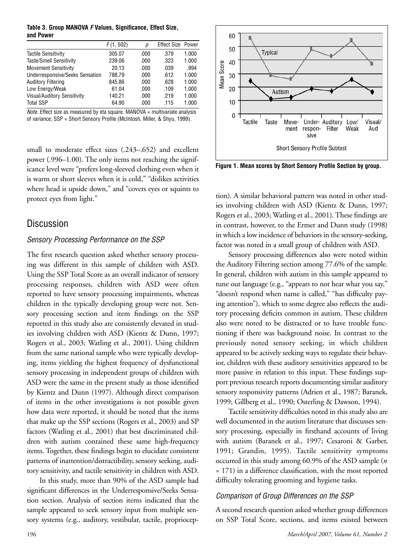#### **Table 3. Group MANOVA** *F* **Values, Significance, Effect Size, and Power**

|                                        | F(1, 502) | р    | <b>Effect Size Power</b> |       |
|----------------------------------------|-----------|------|--------------------------|-------|
| <b>Tactile Sensitivity</b>             | 305.07    | .000 | .379                     | 1.000 |
| Taste/Smell Sensitivity                | 239.06    | .000 | .323                     | 1.000 |
| <b>Movement Sensitivity</b>            | 20.13     | .000 | .039                     | .994  |
| <b>Underresponsive/Seeks Sensation</b> | 788.79    | .000 | .612                     | 1.000 |
| <b>Auditory Filtering</b>              | 845.86    | .000 | .628                     | 1.000 |
| Low Energy/Weak                        | 61.04     | .000 | .109                     | 1.000 |
| Visual/Auditory Sensitivity            | 140.21    | .000 | .219                     | 1.000 |
| <b>Total SSP</b>                       | 64.90     | .000 | .115                     | 1.000 |

*Note.* Effect size as measured by eta square. MANOVA = multivariate analysis of variance; SSP = Short Sensory Profile (McIntosh, Miller, & Shyu, 1999).

small to moderate effect sizes (.243–.652) and excellent power (.996–1.00). The only items not reaching the significance level were "prefers long-sleeved clothing even when it is warm or short sleeves when it is cold," "dislikes activities where head is upside down," and "covers eyes or squints to protect eyes from light."

# Discussion

## *Sensory Processing Performance on the SSP*

The first research question asked whether sensory processing was different in this sample of children with ASD. Using the SSP Total Score as an overall indicator of sensory processing responses, children with ASD were often reported to have sensory processing impairments, whereas children in the typically developing group were not. Sensory processing section and item findings on the SSP reported in this study also are consistently elevated in studies involving children with ASD (Kientz & Dunn, 1997; Rogers et al., 2003; Watling et al., 2001). Using children from the same national sample who were typically developing, items yielding the highest frequency of dysfunctional sensory processing in independent groups of children with ASD were the same in the present study as those identified by Kientz and Dunn (1997). Although direct comparison of items in the other investigations is not possible given how data were reported, it should be noted that the items that make up the SSP sections (Rogers et al., 2003) and SP factors (Watling et al., 2001) that best discriminated children with autism contained these same high-frequency items. Together, these findings begin to elucidate consistent patterns of inattention/distractibility, sensory seeking, auditory sensitivity, and tactile sensitivity in children with ASD.

In this study, more than 90% of the ASD sample had significant differences in the Underresponsive/Seeks Sensation section. Analysis of section items indicated that the sample appeared to seek sensory input from multiple sensory systems (e.g., auditory, vestibular, tactile, propriocep-



**Figure 1. Mean scores by Short Sensory Profile Section by group.**

tion). A similar behavioral pattern was noted in other studies involving children with ASD (Kientz & Dunn, 1997; Rogers et al., 2003; Watling et al., 2001). These findings are in contrast, however, to the Ermer and Dunn study (1998) in which a low incidence of behaviors in the sensory-seeking, factor was noted in a small group of children with ASD.

Sensory processing differences also were noted within the Auditory Filtering section among 77.6% of the sample. In general, children with autism in this sample appeared to tune out language (e.g., "appears to not hear what you say," "doesn't respond when name is called," "has difficulty paying attention"), which to some degree also reflects the auditory processing deficits common in autism. These children also were noted to be distracted or to have trouble functioning if there was background noise. In contrast to the previously noted sensory seeking, in which children appeared to be actively seeking ways to regulate their behavior, children with these auditory sensitivities appeared to be more passive in relation to this input. These findings support previous research reports documenting similar auditory sensory responsivity patterns (Adrien et al., 1987; Baranek, 1999; Gillberg et al., 1990; Osterling & Dawson, 1994).

Tactile sensitivity difficulties noted in this study also are well documented in the autism literature that discusses sensory processing, especially in firsthand accounts of living with autism (Baranek et al., 1997; Cesaroni & Garber, 1991; Grandin, 1995). Tactile sensitivity symptoms occurred in this study among 60.9% of the ASD sample (*n* = 171) in a difference classification, with the most reported difficulty tolerating grooming and hygiene tasks.

## *Comparison of Group Differences on the SSP*

A second research question asked whether group differences on SSP Total Score, sections, and items existed between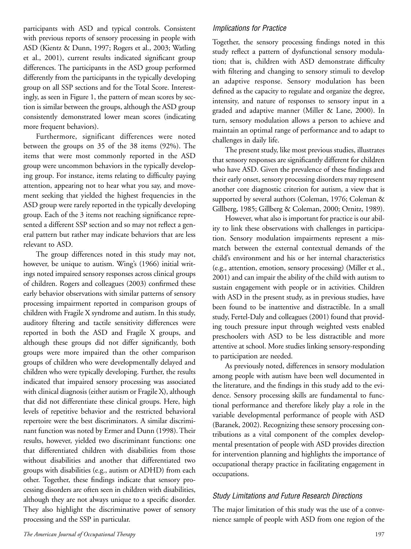participants with ASD and typical controls. Consistent with previous reports of sensory processing in people with ASD (Kientz & Dunn, 1997; Rogers et al., 2003; Watling et al., 2001), current results indicated significant group differences. The participants in the ASD group performed differently from the participants in the typically developing group on all SSP sections and for the Total Score. Interestingly, as seen in Figure 1, the pattern of mean scores by section is similar between the groups, although the ASD group consistently demonstrated lower mean scores (indicating more frequent behaviors).

Furthermore, significant differences were noted between the groups on 35 of the 38 items (92%). The items that were most commonly reported in the ASD group were uncommon behaviors in the typically developing group. For instance, items relating to difficulty paying attention, appearing not to hear what you say, and movement seeking that yielded the highest frequencies in the ASD group were rarely reported in the typically developing group. Each of the 3 items not reaching significance represented a different SSP section and so may not reflect a general pattern but rather may indicate behaviors that are less relevant to ASD.

The group differences noted in this study may not, however, be unique to autism. Wing's (1966) initial writings noted impaired sensory responses across clinical groups of children. Rogers and colleagues (2003) confirmed these early behavior observations with similar patterns of sensory processing impairment reported in comparison groups of children with Fragile X syndrome and autism. In this study, auditory filtering and tactile sensitivity differences were reported in both the ASD and Fragile X groups, and although these groups did not differ significantly, both groups were more impaired than the other comparison groups of children who were developmentally delayed and children who were typically developing. Further, the results indicated that impaired sensory processing was associated with clinical diagnosis (either autism or Fragile X), although that did not differentiate these clinical groups. Here, high levels of repetitive behavior and the restricted behavioral repertoire were the best discriminators. A similar discriminant function was noted by Ermer and Dunn (1998). Their results, however, yielded two discriminant functions: one that differentiated children with disabilities from those without disabilities and another that differentiated two groups with disabilities (e.g., autism or ADHD) from each other. Together, these findings indicate that sensory processing disorders are often seen in children with disabilities, although they are not always unique to a specific disorder. They also highlight the discriminative power of sensory processing and the SSP in particular.

## *Implications for Practice*

Together, the sensory processing findings noted in this study reflect a pattern of dysfunctional sensory modulation; that is, children with ASD demonstrate difficulty with filtering and changing to sensory stimuli to develop an adaptive response. Sensory modulation has been defined as the capacity to regulate and organize the degree, intensity, and nature of responses to sensory input in a graded and adaptive manner (Miller & Lane, 2000). In turn, sensory modulation allows a person to achieve and maintain an optimal range of performance and to adapt to challenges in daily life.

The present study, like most previous studies, illustrates that sensory responses are significantly different for children who have ASD. Given the prevalence of these findings and their early onset, sensory processing disorders may represent another core diagnostic criterion for autism, a view that is supported by several authors (Coleman, 1976; Coleman & Gillberg, 1985; Gillberg & Coleman, 2000; Ornitz, 1989).

However, what also is important for practice is our ability to link these observations with challenges in participation. Sensory modulation impairments represent a mismatch between the external contextual demands of the child's environment and his or her internal characteristics (e.g., attention, emotion, sensory processing) (Miller et al., 2001) and can impair the ability of the child with autism to sustain engagement with people or in activities. Children with ASD in the present study, as in previous studies, have been found to be inattentive and distractible. In a small study, Fertel-Daly and colleagues (2001) found that providing touch pressure input through weighted vests enabled preschoolers with ASD to be less distractible and more attentive at school. More studies linking sensory-responding to participation are needed.

As previously noted, differences in sensory modulation among people with autism have been well documented in the literature, and the findings in this study add to the evidence. Sensory processing skills are fundamental to functional performance and therefore likely play a role in the variable developmental performance of people with ASD (Baranek, 2002). Recognizing these sensory processing contributions as a vital component of the complex developmental presentation of people with ASD provides direction for intervention planning and highlights the importance of occupational therapy practice in facilitating engagement in occupations.

## *Study Limitations and Future Research Directions*

The major limitation of this study was the use of a convenience sample of people with ASD from one region of the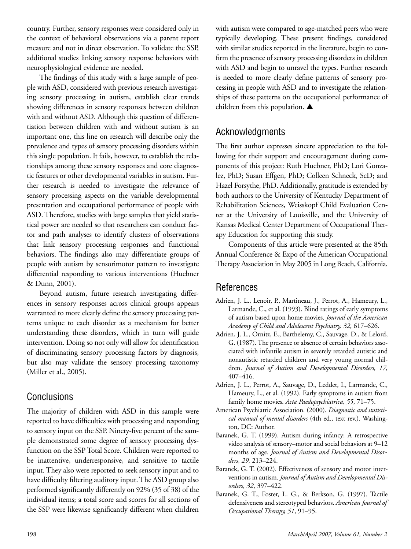country. Further, sensory responses were considered only in the context of behavioral observations via a parent report measure and not in direct observation. To validate the SSP, additional studies linking sensory response behaviors with neurophysiological evidence are needed.

The findings of this study with a large sample of people with ASD, considered with previous research investigating sensory processing in autism, establish clear trends showing differences in sensory responses between children with and without ASD. Although this question of differentiation between children with and without autism is an important one, this line on research will describe only the prevalence and types of sensory processing disorders within this single population. It fails, however, to establish the relationships among these sensory responses and core diagnostic features or other developmental variables in autism. Further research is needed to investigate the relevance of sensory processing aspects on the variable developmental presentation and occupational performance of people with ASD. Therefore, studies with large samples that yield statistical power are needed so that researchers can conduct factor and path analyses to identify clusters of observations that link sensory processing responses and functional behaviors. The findings also may differentiate groups of people with autism by sensorimotor pattern to investigate differential responding to various interventions (Huebner & Dunn, 2001).

Beyond autism, future research investigating differences in sensory responses across clinical groups appears warranted to more clearly define the sensory processing patterns unique to each disorder as a mechanism for better understanding these disorders, which in turn will guide intervention. Doing so not only will allow for identification of discriminating sensory processing factors by diagnosis, but also may validate the sensory processing taxonomy (Miller et al., 2005).

# **Conclusions**

The majority of children with ASD in this sample were reported to have difficulties with processing and responding to sensory input on the SSP. Ninety-five percent of the sample demonstrated some degree of sensory processing dysfunction on the SSP Total Score. Children were reported to be inattentive, underresponsive, and sensitive to tactile input. They also were reported to seek sensory input and to have difficulty filtering auditory input. The ASD group also performed significantly differently on 92% (35 of 38) of the individual items; a total score and scores for all sections of the SSP were likewise significantly different when children

with autism were compared to age-matched peers who were typically developing. These present findings, considered with similar studies reported in the literature, begin to confirm the presence of sensory processing disorders in children with ASD and begin to unravel the types. Further research is needed to more clearly define patterns of sensory processing in people with ASD and to investigate the relationships of these patterns on the occupational performance of children from this population. **▲**

# Acknowledgments

The first author expresses sincere appreciation to the following for their support and encouragement during components of this project: Ruth Huebner, PhD; Lori Gonzalez, PhD; Susan Effgen, PhD; Colleen Schneck, ScD; and Hazel Forsythe, PhD. Additionally, gratitude is extended by both authors to the University of Kentucky Department of Rehabilitation Sciences, Weisskopf Child Evaluation Center at the University of Louisville, and the University of Kansas Medical Center Department of Occupational Therapy Education for supporting this study.

Components of this article were presented at the 85th Annual Conference & Expo of the American Occupational Therapy Association in May 2005 in Long Beach, California.

# References

- Adrien, J. L., Lenoir, P., Martineau, J., Perrot, A., Hameury, L., Larmande, C., et al. (1993). Blind ratings of early symptoms of autism based upon home movies. *Journal of the American Academy of Child and Adolescent Psychiatry, 32*, 617–626.
- Adrien, J. L., Ornitz, E., Barthelemy, C., Sauvage, D., & Lelord, G. (1987). The presence or absence of certain behaviors associated with infantile autism in severely retarded autistic and nonautistic retarded children and very young normal children. *Journal of Autism and Developmental Disorders, 17*, 407–416.
- Adrien, J. L., Perrot, A., Sauvage, D., Leddet, I., Larmande, C., Hameury, L., et al. (1992). Early symptoms in autism from family home movies. *Acta Paedopsychiatrica, 55*, 71–75.
- American Psychiatric Association. (2000). *Diagnostic and statistical manual of mental disorders* (4th ed., text rev.). Washington, DC: Author.
- Baranek, G. T. (1999). Autism during infancy: A retrospective video analysis of sensory–motor and social behaviors at 9–12 months of age. *Journal of Autism and Developmental Disorders, 29,* 213–224.
- Baranek, G. T. (2002). Effectiveness of sensory and motor interventions in autism. *Journal of Autism and Developmental Disorders, 32*, 397–422.
- Baranek, G. T., Foster, L. G., & Berkson, G. (1997). Tactile defensiveness and stereotyped behaviors. *American Journal of Occupational Therapy, 51*, 91–95.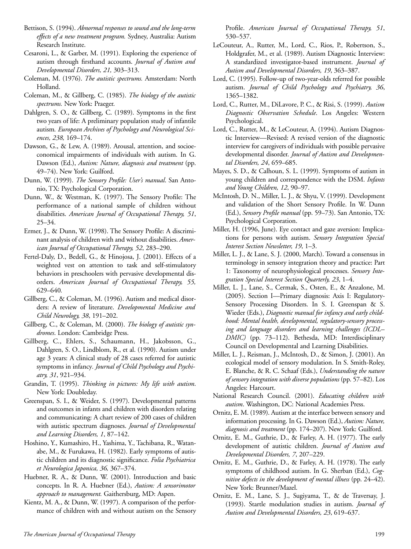- Bettison, S. (1994). *Abnormal responses to sound and the long-term effects of a new treatment program.* Sydney, Australia: Autism Research Institute.
- Cesaroni, L., & Garber, M. (1991). Exploring the experience of autism through firsthand accounts. *Journal of Autism and Developmental Disorders, 21,* 303–313.
- Coleman, M. (1976). *The autistic spectrums.* Amsterdam: North Holland.
- Coleman, M., & Gillberg, C. (1985). *The biology of the autistic spectrums.* New York: Praeger.
- Dahlgren, S. O., & Gillberg, C. (1989). Symptoms in the first two years of life: A preliminary population study of infantile autism*. European Archives of Psychology and Neurological Sciences, 238,* 169–174.
- Dawson, G., & Lew, A. (1989). Arousal, attention, and socioeconomical impairments of individuals with autism. In G. Dawson (Ed.), *Autism: Nature, diagnosis and treatment* (pp. 49–74). New York: Guilford.
- Dunn, W. (1999). *The Sensory Profile: User's manual*. San Antonio, TX: Psychological Corporation.
- Dunn, W., & Westman, K. (1997). The Sensory Profile: The performance of a national sample of children without disabilities. *American Journal of Occupational Therapy, 51*, 25–34.
- Ermer, J., & Dunn, W. (1998). The Sensory Profile: A discriminant analysis of children with and without disabilities. *American Journal of Occupational Therapy, 52*, 283–290.
- Fertel-Daly, D., Bedell, G., & Hinojosa, J. (2001). Effects of a weighted vest on attention to task and self-stimulatory behaviors in preschoolers with pervasive developmental disorders. *American Journal of Occupational Therapy, 55,* 629–640*.*
- Gillberg, C., & Coleman, M. (1996). Autism and medical disorders: A review of literature. *Developmental Medicine and Child Neurology, 38*, 191–202.
- Gillberg, C., & Coleman, M. (2000). *The biology of autistic syndromes*. London: Cambridge Press.
- Gillberg, C., Ehlers, S., Schaumann, H., Jakobsson, G., Dahlgren, S. O., Lindblom, R., et al. (1990). Autism under age 3 years: A clinical study of 28 cases referred for autistic symptoms in infancy*. Journal of Child Psychology and Psychiatry, 31*, 921–934.
- Grandin, T. (1995). *Thinking in pictures: My life with autism*. New York: Doubleday.
- Greenspan, S. I., & Weider, S. (1997). Developmental patterns and outcomes in infants and children with disorders relating and communicating: A chart review of 200 cases of children with autistic spectrum diagnoses. *Journal of Developmental and Learning Disorders, 1*, 87–142.
- Hoshino, Y., Kumashiro, H., Yashima, Y., Tachibana, R., Watanabe, M., & Furukawa, H. (1982). Early symptoms of autistic children and its diagnostic significance. *Folia Psychiatrica et Neurologica Japonica, 36,* 367–374.
- Huebner, R. A., & Dunn, W. (2001). Introduction and basic concepts. In R. A. Huebner (Ed.), *Autism: A sensorimotor approach to management.* Gaithersburg, MD: Aspen.
- Kientz, M. A., & Dunn, W. (1997). A comparison of the performance of children with and without autism on the Sensory

Profile. *American Journal of Occupational Therapy, 51*, 530–537.

- LeCouteur, A., Rutter, M., Lord, C., Rios, P., Robertson, S., Holdgrafer, M., et al. (1989). Autism Diagnostic Interview: A standardized investigator-based instrument. *Journal of Autism and Developmental Disorders, 19*, 363–387.
- Lord, C. (1995). Follow-up of two-year-olds referred for possible autism. *Journal of Child Psychology and Psychiatry, 36*, 1365–1382.
- Lord, C., Rutter, M., DiLavore, P. C., & Risi, S. (1999). *Autism Diagnostic Observation Schedule*. Los Angeles: Western Psychological.
- Lord, C., Rutter, M., & LeCouteur, A. (1994). Autism Diagnostic Interview—Revised: A revised version of the diagnostic interview for caregivers of individuals with possible pervasive developmental disorder. *Journal of Autism and Developmental Disorders, 24*, 659–685.
- Mayes, S. D., & Calhoun, S. L. (1999). Symptoms of autism in young children and correspondence with the DSM. *Infants and Young Children, 12*, 90–97.
- McIntosh, D. N., Miller, L. J., & Shyu, V. (1999). Development and validation of the Short Sensory Profile. In W. Dunn (Ed.), *Sensory Profile manual* (pp. 59–73). San Antonio, TX: Psychological Corporation.
- Miller, H. (1996, June). Eye contact and gaze aversion: Implications for persons with autism. *Sensory Integration Special Interest Section Newsletter, 19*, 1–3.
- Miller, L. J., & Lane, S. J. (2000, March). Toward a consensus in terminology in sensory integration theory and practice: Part 1: Taxonomy of neurophysiological processes. *Sensory Integration Special Interest Section Quarterly, 23*, 1–4.
- Miller, L. J., Lane, S., Cermak, S., Osten, E., & Anzalone, M. (2005). Section I—Primary diagnosis: Axis I: Regulatory-Sensory Processing Disorders. In S. I. Greenspan & S. Wieder (Eds.), *Diagnostic manual for infancy and early childhood: Mental health, developmental, regulatory-sensory processing and language disorders and learning challenges (ICDL– DMIC)* (pp. 73–112). Bethesda, MD: Interdisciplinary Council on Developmental and Learning Disabilities.
- Miller, L. J., Reisman, J., McIntosh, D., & Simon, J. (2001). An ecological model of sensory modulation. In S. Smith-Roley, E. Blanche, & R. C. Schaaf (Eds.), *Understanding the nature of sensory integration with diverse populations* (pp. 57–82). Los Angeles: Harcourt.
- National Research Council. (2001). *Educating children with autism*. Washington, DC: National Academies Press.
- Ornitz, E. M. (1989). Autism at the interface between sensory and information processing. In G. Dawson (Ed.), *Autism: Nature, diagnosis and treatment* (pp. 174–207). New York: Guilford.
- Ornitz, E. M., Guthrie, D., & Farley, A. H. (1977). The early development of autistic children. *Journal of Autism and Developmental Disorders, 7*, 207–229.
- Ornitz, E. M., Guthrie, D., & Farley, A. H. (1978). The early symptoms of childhood autism. In G. Sherban (Ed.), *Cognitive defects in the development of mental illness* (pp. 24–42). New York: Brunner/Mazel.
- Ornitz, E. M., Lane, S. J., Sugiyama, T., & de Traversay, J. (1993). Startle modulation studies in autism. *Journal of Autism and Developmental Disorders, 23*, 619–637.